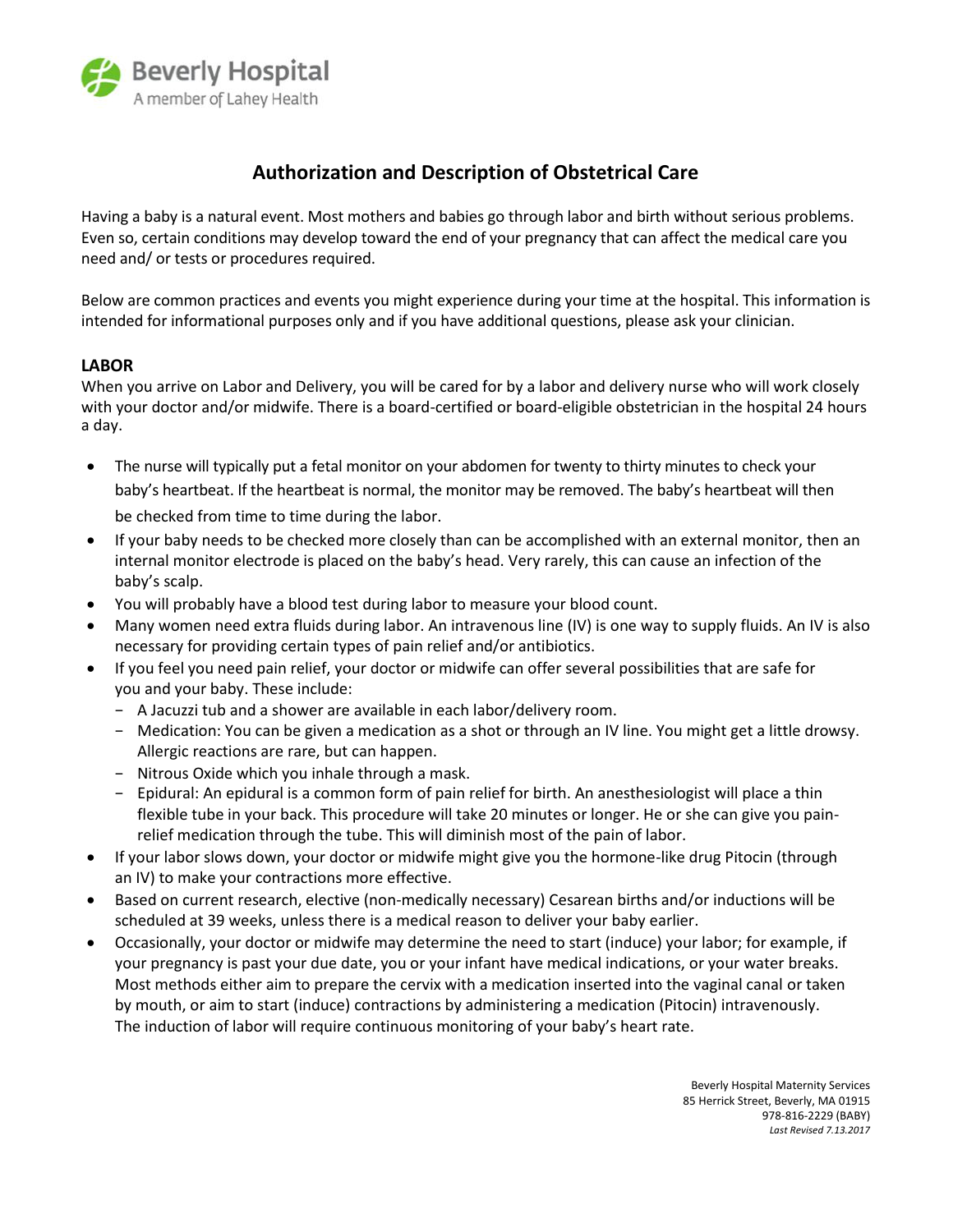

# **Authorization and Description of Obstetrical Care**

Having a baby is a natural event. Most mothers and babies go through labor and birth without serious problems. Even so, certain conditions may develop toward the end of your pregnancy that can affect the medical care you need and/ or tests or procedures required.

Below are common practices and events you might experience during your time at the hospital. This information is intended for informational purposes only and if you have additional questions, please ask your clinician.

## **LABOR**

When you arrive on Labor and Delivery, you will be cared for by a labor and delivery nurse who will work closely with your doctor and/or midwife. There is a board-certified or board-eligible obstetrician in the hospital 24 hours a day.

- The nurse will typically put a fetal monitor on your abdomen for twenty to thirty minutes to check your baby's heartbeat. If the heartbeat is normal, the monitor may be removed. The baby's heartbeat will then be checked from time to time during the labor.
- If your baby needs to be checked more closely than can be accomplished with an external monitor, then an internal monitor electrode is placed on the baby's head. Very rarely, this can cause an infection of the baby's scalp.
- You will probably have a blood test during labor to measure your blood count.
- Many women need extra fluids during labor. An intravenous line (IV) is one way to supply fluids. An IV is also necessary for providing certain types of pain relief and/or antibiotics.
- If you feel you need pain relief, your doctor or midwife can offer several possibilities that are safe for you and your baby. These include:
	- − A Jacuzzi tub and a shower are available in each labor/delivery room.
	- − Medication: You can be given a medication as a shot or through an IV line. You might get a little drowsy. Allergic reactions are rare, but can happen.
	- − Nitrous Oxide which you inhale through a mask.
	- − Epidural: An epidural is a common form of pain relief for birth. An anesthesiologist will place a thin flexible tube in your back. This procedure will take 20 minutes or longer. He or she can give you painrelief medication through the tube. This will diminish most of the pain of labor.
- If your labor slows down, your doctor or midwife might give you the hormone-like drug Pitocin (through an IV) to make your contractions more effective.
- Based on current research, elective (non-medically necessary) Cesarean births and/or inductions will be scheduled at 39 weeks, unless there is a medical reason to deliver your baby earlier.
- Occasionally, your doctor or midwife may determine the need to start (induce) your labor; for example, if your pregnancy is past your due date, you or your infant have medical indications, or your water breaks. Most methods either aim to prepare the cervix with a medication inserted into the vaginal canal or taken by mouth, or aim to start (induce) contractions by administering a medication (Pitocin) intravenously. The induction of labor will require continuous monitoring of your baby's heart rate.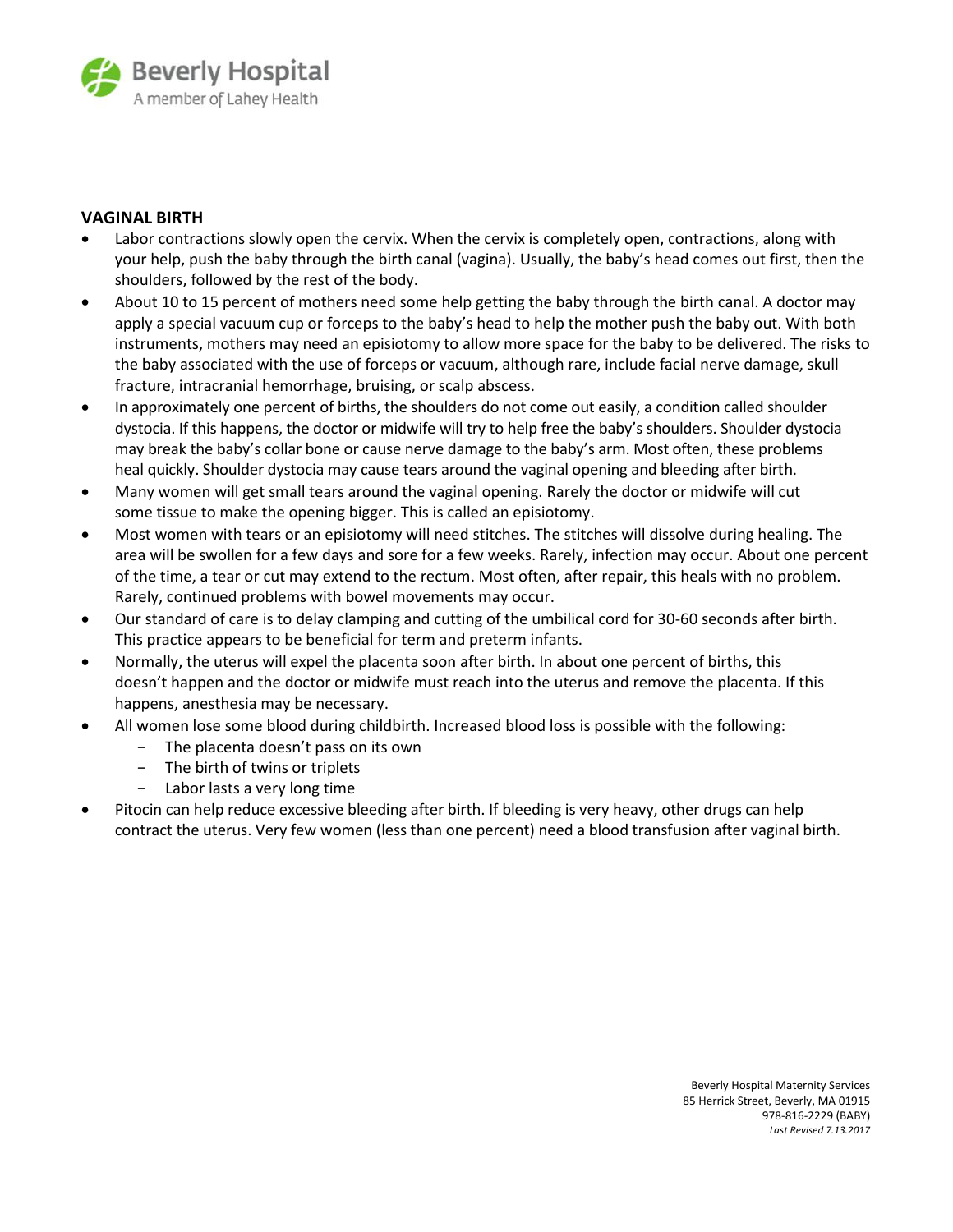

## **VAGINAL BIRTH**

- Labor contractions slowly open the cervix. When the cervix is completely open, contractions, along with your help, push the baby through the birth canal (vagina). Usually, the baby's head comes out first, then the shoulders, followed by the rest of the body.
- About 10 to 15 percent of mothers need some help getting the baby through the birth canal. A doctor may apply a special vacuum cup or forceps to the baby's head to help the mother push the baby out. With both instruments, mothers may need an episiotomy to allow more space for the baby to be delivered. The risks to the baby associated with the use of forceps or vacuum, although rare, include facial nerve damage, skull fracture, intracranial hemorrhage, bruising, or scalp abscess.
- In approximately one percent of births, the shoulders do not come out easily, a condition called shoulder dystocia. If this happens, the doctor or midwife will try to help free the baby's shoulders. Shoulder dystocia may break the baby's collar bone or cause nerve damage to the baby's arm. Most often, these problems heal quickly. Shoulder dystocia may cause tears around the vaginal opening and bleeding after birth.
- Many women will get small tears around the vaginal opening. Rarely the doctor or midwife will cut some tissue to make the opening bigger. This is called an episiotomy.
- Most women with tears or an episiotomy will need stitches. The stitches will dissolve during healing. The area will be swollen for a few days and sore for a few weeks. Rarely, infection may occur. About one percent of the time, a tear or cut may extend to the rectum. Most often, after repair, this heals with no problem. Rarely, continued problems with bowel movements may occur.
- Our standard of care is to delay clamping and cutting of the umbilical cord for 30-60 seconds after birth. This practice appears to be beneficial for term and preterm infants.
- Normally, the uterus will expel the placenta soon after birth. In about one percent of births, this doesn't happen and the doctor or midwife must reach into the uterus and remove the placenta. If this happens, anesthesia may be necessary.
- All women lose some blood during childbirth. Increased blood loss is possible with the following:
	- The placenta doesn't pass on its own
	- − The birth of twins or triplets
	- − Labor lasts a very long time
- Pitocin can help reduce excessive bleeding after birth. If bleeding is very heavy, other drugs can help contract the uterus. Very few women (less than one percent) need a blood transfusion after vaginal birth.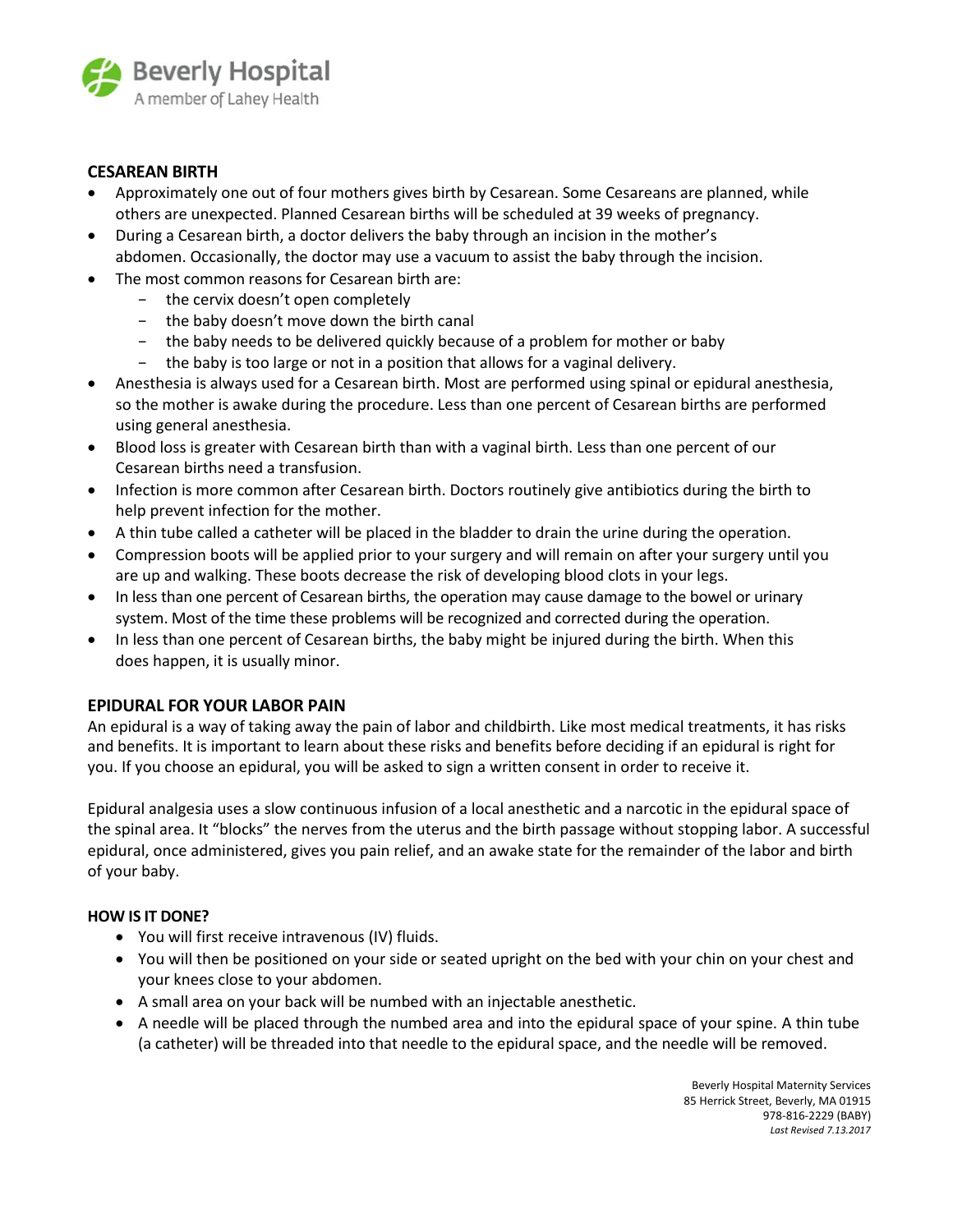

## **CESAREAN BIRTH**

- Approximately one out of four mothers gives birth by Cesarean. Some Cesareans are planned, while others are unexpected. Planned Cesarean births will be scheduled at 39 weeks of pregnancy.
- During a Cesarean birth, a doctor delivers the baby through an incision in the mother's abdomen. Occasionally, the doctor may use a vacuum to assist the baby through the incision.
- The most common reasons for Cesarean birth are:
	- − the cervix doesn't open completely
	- − the baby doesn't move down the birth canal
	- − the baby needs to be delivered quickly because of a problem for mother or baby
	- − the baby is too large or not in a position that allows for a vaginal delivery.
- Anesthesia is always used for a Cesarean birth. Most are performed using spinal or epidural anesthesia, so the mother is awake during the procedure. Less than one percent of Cesarean births are performed using general anesthesia.
- Blood loss is greater with Cesarean birth than with a vaginal birth. Less than one percent of our Cesarean births need a transfusion.
- Infection is more common after Cesarean birth. Doctors routinely give antibiotics during the birth to help prevent infection for the mother.
- A thin tube called a catheter will be placed in the bladder to drain the urine during the operation.
- Compression boots will be applied prior to your surgery and will remain on after your surgery until you are up and walking. These boots decrease the risk of developing blood clots in your legs.
- In less than one percent of Cesarean births, the operation may cause damage to the bowel or urinary system. Most of the time these problems will be recognized and corrected during the operation.
- In less than one percent of Cesarean births, the baby might be injured during the birth. When this does happen, it is usually minor.

## **EPIDURAL FOR YOUR LABOR PAIN**

An epidural is a way of taking away the pain of labor and childbirth. Like most medical treatments, it has risks and benefits. It is important to learn about these risks and benefits before deciding if an epidural is right for you. If you choose an epidural, you will be asked to sign a written consent in order to receive it.

Epidural analgesia uses a slow continuous infusion of a local anesthetic and a narcotic in the epidural space of the spinal area. It "blocks" the nerves from the uterus and the birth passage without stopping labor. A successful epidural, once administered, gives you pain relief, and an awake state for the remainder of the labor and birth of your baby.

## **HOW IS IT DONE?**

- You will first receive intravenous (IV) fluids.
- You will then be positioned on your side or seated upright on the bed with your chin on your chest and your knees close to your abdomen.
- A small area on your back will be numbed with an injectable anesthetic.
- A needle will be placed through the numbed area and into the epidural space of your spine. A thin tube (a catheter) will be threaded into that needle to the epidural space, and the needle will be removed.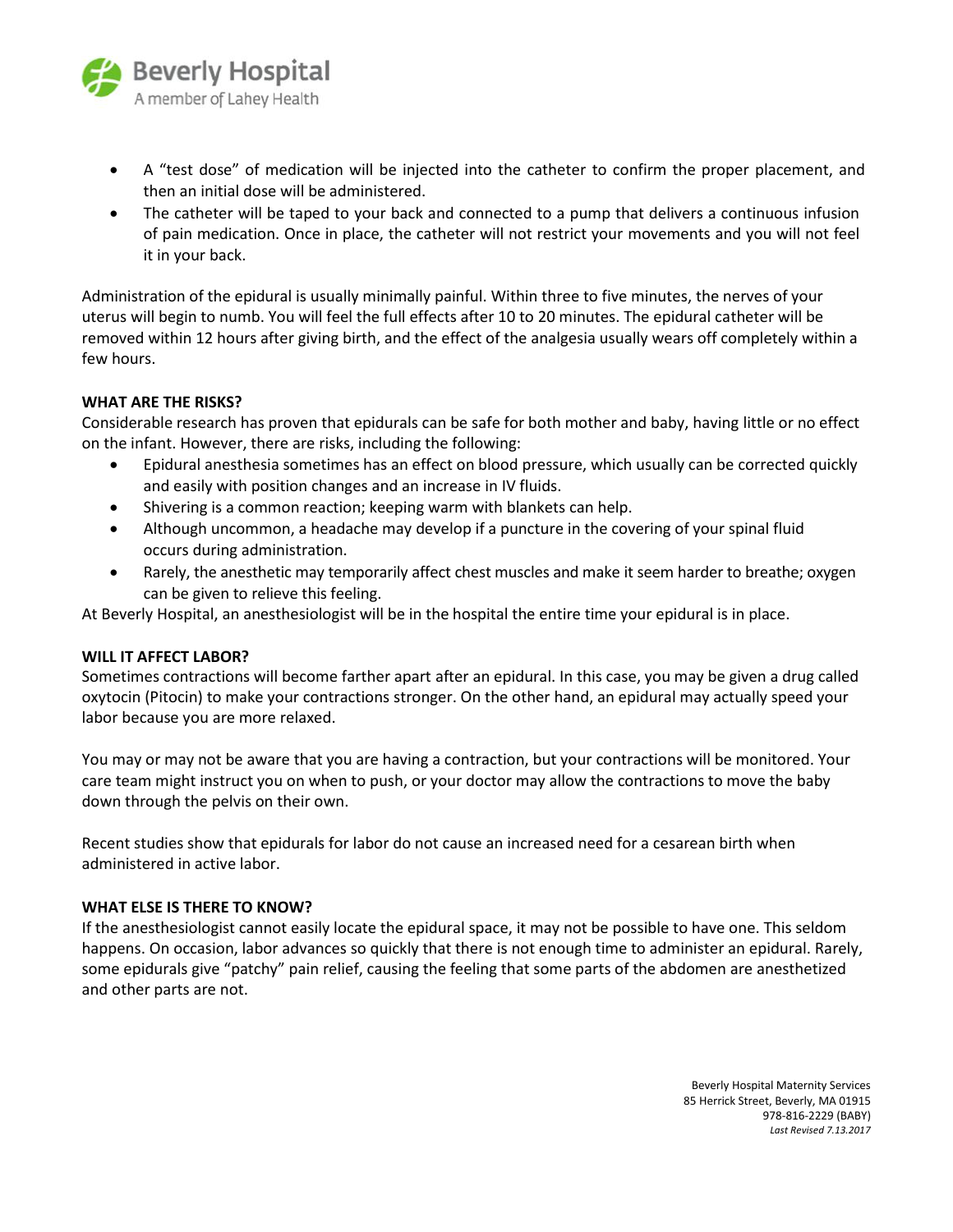

- A "test dose" of medication will be injected into the catheter to confirm the proper placement, and then an initial dose will be administered.
- The catheter will be taped to your back and connected to a pump that delivers a continuous infusion of pain medication. Once in place, the catheter will not restrict your movements and you will not feel it in your back.

Administration of the epidural is usually minimally painful. Within three to five minutes, the nerves of your uterus will begin to numb. You will feel the full effects after 10 to 20 minutes. The epidural catheter will be removed within 12 hours after giving birth, and the effect of the analgesia usually wears off completely within a few hours.

## **WHAT ARE THE RISKS?**

Considerable research has proven that epidurals can be safe for both mother and baby, having little or no effect on the infant. However, there are risks, including the following:

- Epidural anesthesia sometimes has an effect on blood pressure, which usually can be corrected quickly and easily with position changes and an increase in IV fluids.
- Shivering is a common reaction; keeping warm with blankets can help.
- Although uncommon, a headache may develop if a puncture in the covering of your spinal fluid occurs during administration.
- Rarely, the anesthetic may temporarily affect chest muscles and make it seem harder to breathe; oxygen can be given to relieve this feeling.

At Beverly Hospital, an anesthesiologist will be in the hospital the entire time your epidural is in place.

#### **WILL IT AFFECT LABOR?**

Sometimes contractions will become farther apart after an epidural. In this case, you may be given a drug called oxytocin (Pitocin) to make your contractions stronger. On the other hand, an epidural may actually speed your labor because you are more relaxed.

You may or may not be aware that you are having a contraction, but your contractions will be monitored. Your care team might instruct you on when to push, or your doctor may allow the contractions to move the baby down through the pelvis on their own.

Recent studies show that epidurals for labor do not cause an increased need for a cesarean birth when administered in active labor.

#### **WHAT ELSE IS THERE TO KNOW?**

If the anesthesiologist cannot easily locate the epidural space, it may not be possible to have one. This seldom happens. On occasion, labor advances so quickly that there is not enough time to administer an epidural. Rarely, some epidurals give "patchy" pain relief, causing the feeling that some parts of the abdomen are anesthetized and other parts are not.

> Beverly Hospital Maternity Services 85 Herrick Street, Beverly, MA 01915 978-816-2229 (BABY) *Last Revised 7.13.2017*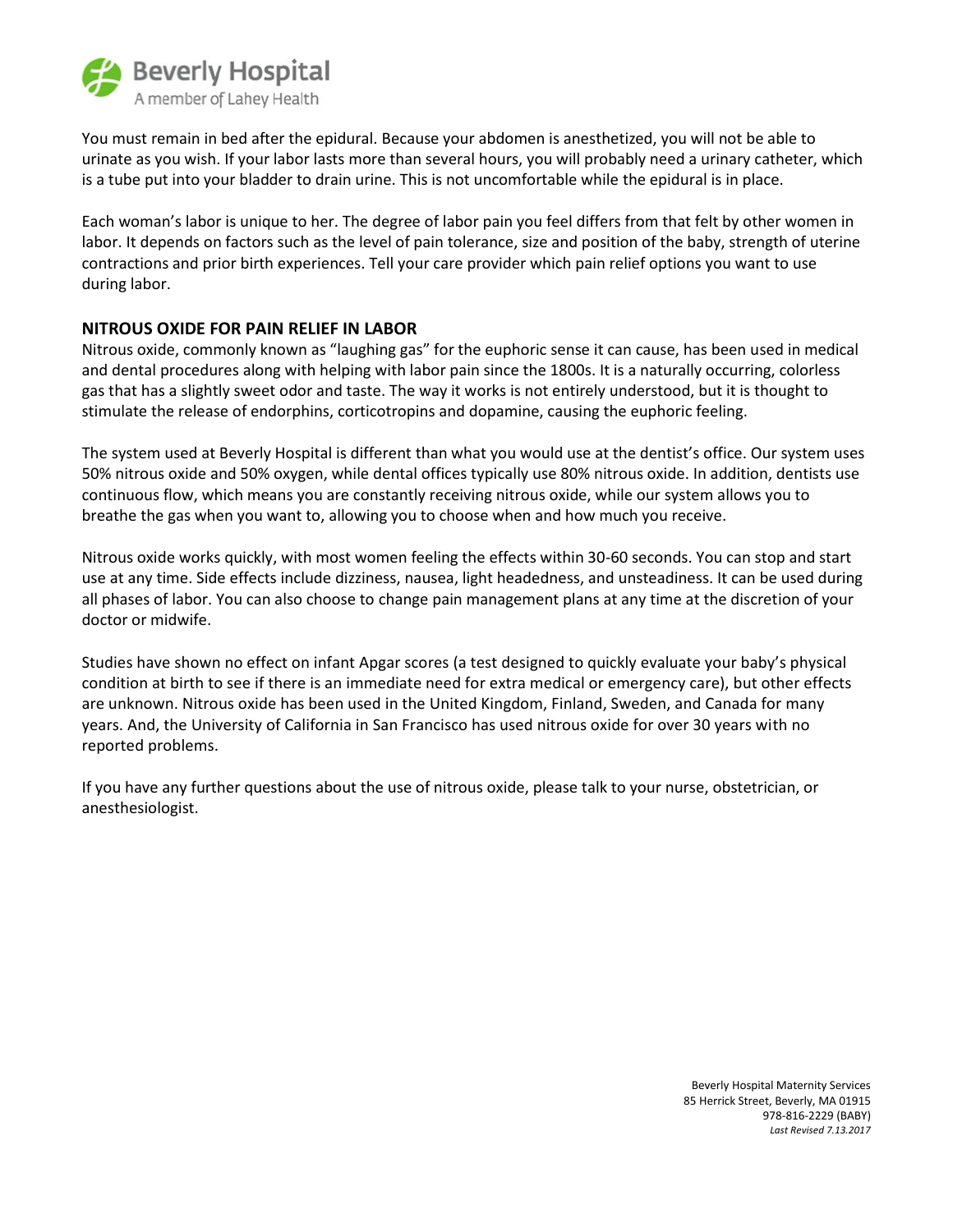

You must remain in bed after the epidural. Because your abdomen is anesthetized, you will not be able to urinate as you wish. If your labor lasts more than several hours, you will probably need a urinary catheter, which is a tube put into your bladder to drain urine. This is not uncomfortable while the epidural is in place.

Each woman's labor is unique to her. The degree of labor pain you feel differs from that felt by other women in labor. It depends on factors such as the level of pain tolerance, size and position of the baby, strength of uterine contractions and prior birth experiences. Tell your care provider which pain relief options you want to use during labor.

## **NITROUS OXIDE FOR PAIN RELIEF IN LABOR**

Nitrous oxide, commonly known as "laughing gas" for the euphoric sense it can cause, has been used in medical and dental procedures along with helping with labor pain since the 1800s. It is a naturally occurring, colorless gas that has a slightly sweet odor and taste. The way it works is not entirely understood, but it is thought to stimulate the release of endorphins, corticotropins and dopamine, causing the euphoric feeling.

The system used at Beverly Hospital is different than what you would use at the dentist's office. Our system uses 50% nitrous oxide and 50% oxygen, while dental offices typically use 80% nitrous oxide. In addition, dentists use continuous flow, which means you are constantly receiving nitrous oxide, while our system allows you to breathe the gas when you want to, allowing you to choose when and how much you receive.

Nitrous oxide works quickly, with most women feeling the effects within 30-60 seconds. You can stop and start use at any time. Side effects include dizziness, nausea, light headedness, and unsteadiness. It can be used during all phases of labor. You can also choose to change pain management plans at any time at the discretion of your doctor or midwife.

Studies have shown no effect on infant Apgar scores (a test designed to quickly evaluate your baby's physical condition at birth to see if there is an immediate need for extra medical or emergency care), but other effects are unknown. Nitrous oxide has been used in the United Kingdom, Finland, Sweden, and Canada for many years. And, the University of California in San Francisco has used nitrous oxide for over 30 years with no reported problems.

If you have any further questions about the use of nitrous oxide, please talk to your nurse, obstetrician, or anesthesiologist.

> Beverly Hospital Maternity Services 85 Herrick Street, Beverly, MA 01915 978-816-2229 (BABY) *Last Revised 7.13.2017*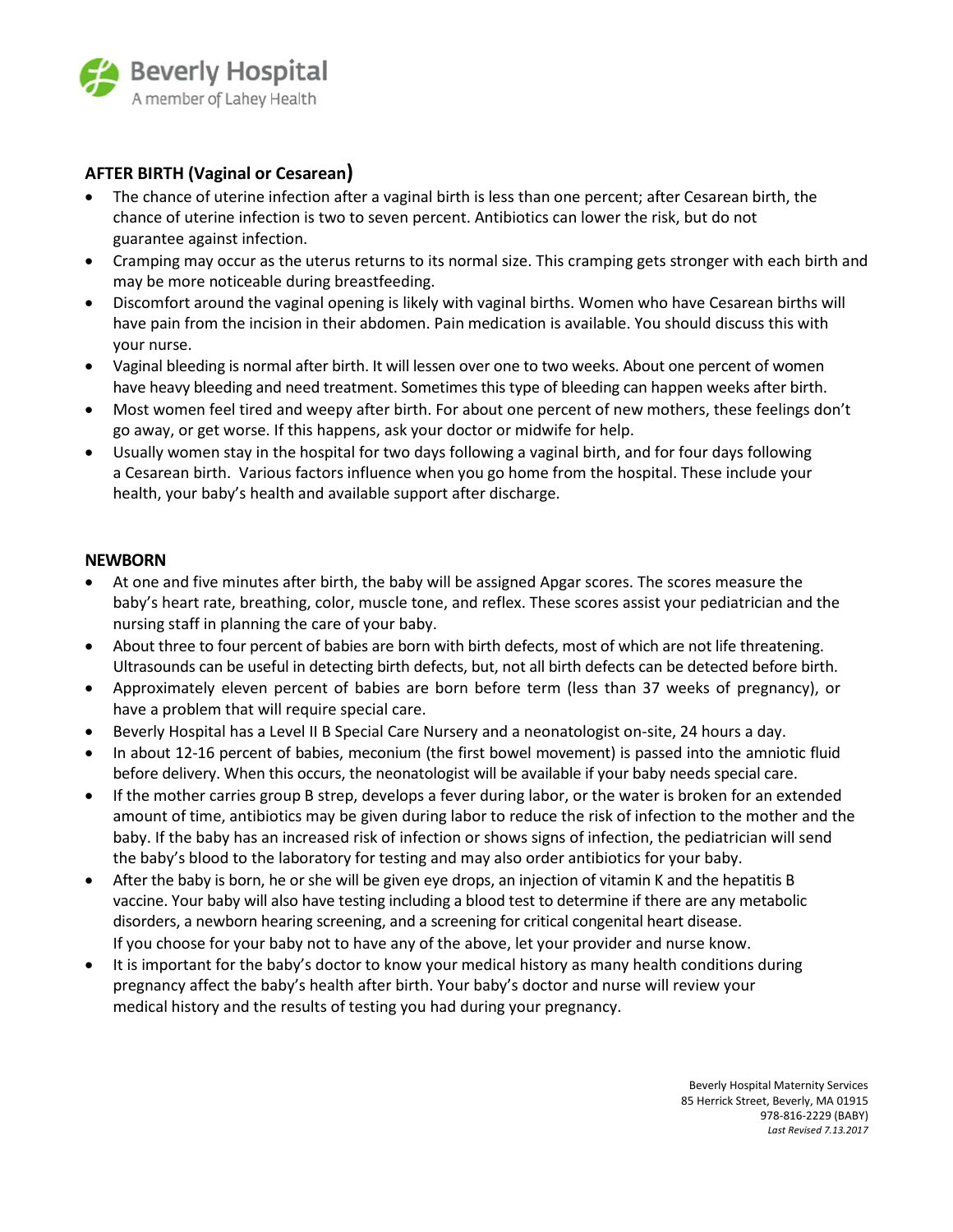

## **AFTER BIRTH (Vaginal or Cesarean)**

- The chance of uterine infection after a vaginal birth is less than one percent; after Cesarean birth, the chance of uterine infection is two to seven percent. Antibiotics can lower the risk, but do not guarantee against infection.
- Cramping may occur as the uterus returns to its normal size. This cramping gets stronger with each birth and may be more noticeable during breastfeeding.
- Discomfort around the vaginal opening is likely with vaginal births. Women who have Cesarean births will have pain from the incision in their abdomen. Pain medication is available. You should discuss this with your nurse.
- Vaginal bleeding is normal after birth. It will lessen over one to two weeks. About one percent of women have heavy bleeding and need treatment. Sometimes this type of bleeding can happen weeks after birth.
- Most women feel tired and weepy after birth. For about one percent of new mothers, these feelings don't go away, or get worse. If this happens, ask your doctor or midwife for help.
- Usually women stay in the hospital for two days following a vaginal birth, and for four days following a Cesarean birth. Various factors influence when you go home from the hospital. These include your health, your baby's health and available support after discharge.

## **NEWBORN**

- At one and five minutes after birth, the baby will be assigned Apgar scores. The scores measure the baby's heart rate, breathing, color, muscle tone, and reflex. These scores assist your pediatrician and the nursing staff in planning the care of your baby.
- About three to four percent of babies are born with birth defects, most of which are not life threatening. Ultrasounds can be useful in detecting birth defects, but, not all birth defects can be detected before birth.
- Approximately eleven percent of babies are born before term (less than 37 weeks of pregnancy), or have a problem that will require special care.
- Beverly Hospital has a Level II B Special Care Nursery and a neonatologist on-site, 24 hours a day.
- In about 12-16 percent of babies, meconium (the first bowel movement) is passed into the amniotic fluid before delivery. When this occurs, the neonatologist will be available if your baby needs special care.
- If the mother carries group B strep, develops a fever during labor, or the water is broken for an extended amount of time, antibiotics may be given during labor to reduce the risk of infection to the mother and the baby. If the baby has an increased risk of infection or shows signs of infection, the pediatrician will send the baby's blood to the laboratory for testing and may also order antibiotics for your baby.
- After the baby is born, he or she will be given eye drops, an injection of vitamin K and the hepatitis B vaccine. Your baby will also have testing including a blood test to determine if there are any metabolic disorders, a newborn hearing screening, and a screening for critical congenital heart disease. If you choose for your baby not to have any of the above, let your provider and nurse know.
- It is important for the baby's doctor to know your medical history as many health conditions during pregnancy affect the baby's health after birth. Your baby's doctor and nurse will review your medical history and the results of testing you had during your pregnancy.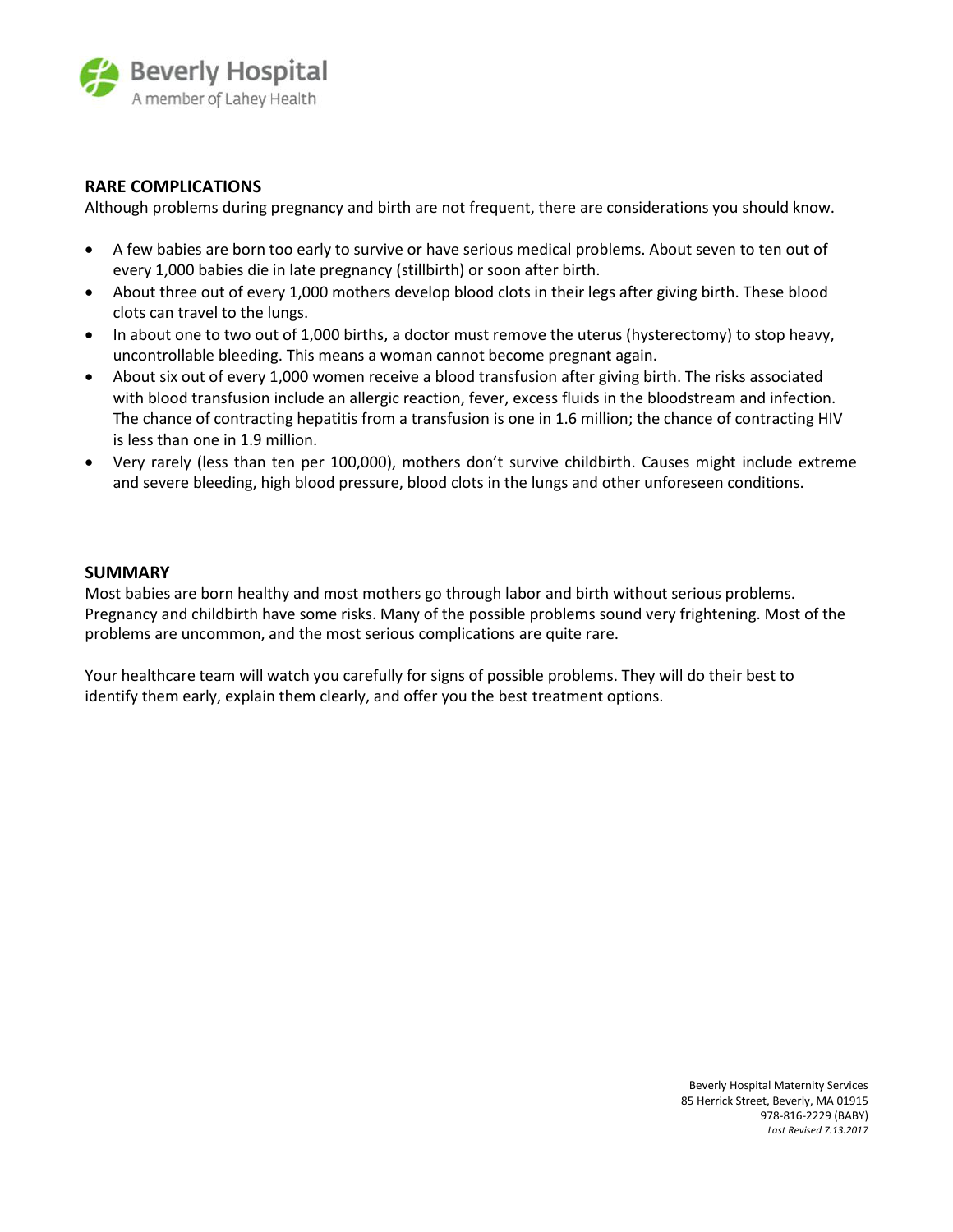

## **RARE COMPLICATIONS**

Although problems during pregnancy and birth are not frequent, there are considerations you should know.

- A few babies are born too early to survive or have serious medical problems. About seven to ten out of every 1,000 babies die in late pregnancy (stillbirth) or soon after birth.
- About three out of every 1,000 mothers develop blood clots in their legs after giving birth. These blood clots can travel to the lungs.
- In about one to two out of 1,000 births, a doctor must remove the uterus (hysterectomy) to stop heavy, uncontrollable bleeding. This means a woman cannot become pregnant again.
- About six out of every 1,000 women receive a blood transfusion after giving birth. The risks associated with blood transfusion include an allergic reaction, fever, excess fluids in the bloodstream and infection. The chance of contracting hepatitis from a transfusion is one in 1.6 million; the chance of contracting HIV is less than one in 1.9 million.
- Very rarely (less than ten per 100,000), mothers don't survive childbirth. Causes might include extreme and severe bleeding, high blood pressure, blood clots in the lungs and other unforeseen conditions.

#### **SUMMARY**

Most babies are born healthy and most mothers go through labor and birth without serious problems. Pregnancy and childbirth have some risks. Many of the possible problems sound very frightening. Most of the problems are uncommon, and the most serious complications are quite rare.

Your healthcare team will watch you carefully for signs of possible problems. They will do their best to identify them early, explain them clearly, and offer you the best treatment options.

> Beverly Hospital Maternity Services 85 Herrick Street, Beverly, MA 01915 978-816-2229 (BABY) *Last Revised 7.13.2017*